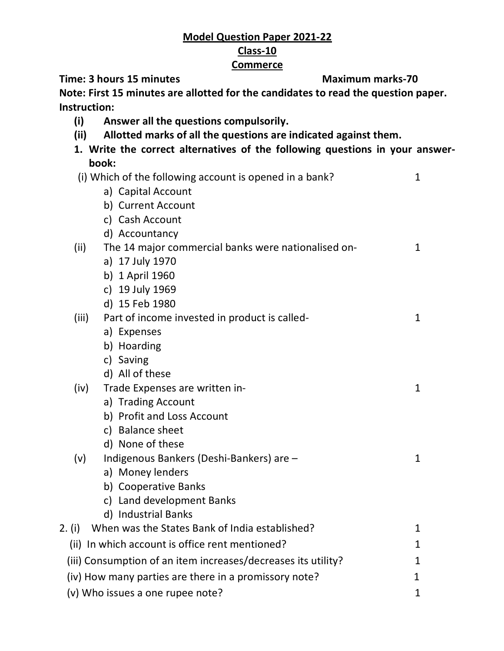## **Model Question Paper 2021-22 Class-10**

## **Commerce**

**Time: 3 hours 15 minutes Maximum marks-70** 

**Note: First 15 minutes are allotted for the candidates to read the question paper. Instruction:** 

- **(i) Answer all the questions compulsorily.**
- **(ii) Allotted marks of all the questions are indicated against them.**
- **1. Write the correct alternatives of the following questions in your answerbook:**  $\sum_{i=1}^{n}$  Which of the following account is opened in a bank?

|       |                                | (i) Which of the following account is opened in a bank?       | 1            |
|-------|--------------------------------|---------------------------------------------------------------|--------------|
|       |                                | a) Capital Account                                            |              |
|       |                                | b) Current Account                                            |              |
|       |                                | c) Cash Account                                               |              |
|       |                                | d) Accountancy                                                |              |
| (ii)  |                                | The 14 major commercial banks were nationalised on-           | $\mathbf{1}$ |
|       |                                | a) 17 July 1970                                               |              |
|       |                                | b) 1 April 1960                                               |              |
|       |                                | c) 19 July 1969                                               |              |
|       |                                | d) 15 Feb 1980                                                |              |
| (iii) |                                | Part of income invested in product is called-                 | $\mathbf{1}$ |
|       |                                | a) Expenses                                                   |              |
|       |                                | b) Hoarding                                                   |              |
|       |                                | c) Saving                                                     |              |
|       |                                | d) All of these                                               |              |
| (iv)  | Trade Expenses are written in- |                                                               | $\mathbf{1}$ |
|       |                                | a) Trading Account                                            |              |
|       |                                | b) Profit and Loss Account                                    |              |
|       |                                | c) Balance sheet                                              |              |
|       |                                | d) None of these                                              |              |
| (v)   |                                | Indigenous Bankers (Deshi-Bankers) are -                      | $\mathbf{1}$ |
|       |                                | a) Money lenders                                              |              |
|       |                                | b) Cooperative Banks                                          |              |
|       |                                | c) Land development Banks                                     |              |
|       |                                | d) Industrial Banks                                           |              |
|       |                                | 2. (i) When was the States Bank of India established?         | $\mathbf{1}$ |
|       |                                | (ii) In which account is office rent mentioned?               | $\mathbf{1}$ |
|       |                                | (iii) Consumption of an item increases/decreases its utility? | $\mathbf{1}$ |
|       |                                | (iv) How many parties are there in a promissory note?         | $\mathbf 1$  |
|       |                                | (v) Who issues a one rupee note?                              | $\mathbf{1}$ |
|       |                                |                                                               |              |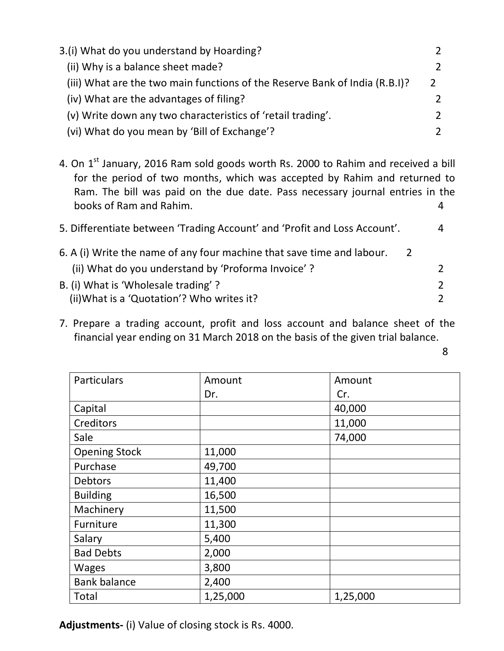| 3.(i) What do you understand by Hoarding?                                   |   |  |
|-----------------------------------------------------------------------------|---|--|
| (ii) Why is a balance sheet made?                                           |   |  |
| (iii) What are the two main functions of the Reserve Bank of India (R.B.I)? | 2 |  |
| (iv) What are the advantages of filing?                                     |   |  |
| (v) Write down any two characteristics of 'retail trading'.                 |   |  |
| (vi) What do you mean by 'Bill of Exchange'?                                |   |  |

4. On 1<sup>st</sup> January, 2016 Ram sold goods worth Rs. 2000 to Rahim and received a bill for the period of two months, which was accepted by Rahim and returned to Ram. The bill was paid on the due date. Pass necessary journal entries in the books of Ram and Rahim. 4

| 5. Differentiate between 'Trading Account' and 'Profit and Loss Account'. |                |  |  |
|---------------------------------------------------------------------------|----------------|--|--|
| 6. A (i) Write the name of any four machine that save time and labour.    | $\overline{2}$ |  |  |
| (ii) What do you understand by 'Proforma Invoice'?                        |                |  |  |
| B. (i) What is 'Wholesale trading'?                                       |                |  |  |
| (ii) What is a 'Quotation'? Who writes it?                                |                |  |  |

7. Prepare a trading account, profit and loss account and balance sheet of the financial year ending on 31 March 2018 on the basis of the given trial balance.

en de la provincia de la provincia de la provincia de la provincia de la provincia de la provincia de la provi

| Particulars          | Amount   | Amount   |
|----------------------|----------|----------|
|                      | Dr.      | Cr.      |
| Capital              |          | 40,000   |
| Creditors            |          | 11,000   |
| Sale                 |          | 74,000   |
| <b>Opening Stock</b> | 11,000   |          |
| Purchase             | 49,700   |          |
| <b>Debtors</b>       | 11,400   |          |
| <b>Building</b>      | 16,500   |          |
| Machinery            | 11,500   |          |
| Furniture            | 11,300   |          |
| Salary               | 5,400    |          |
| <b>Bad Debts</b>     | 2,000    |          |
| <b>Wages</b>         | 3,800    |          |
| <b>Bank balance</b>  | 2,400    |          |
| Total                | 1,25,000 | 1,25,000 |

**Adjustments-** (i) Value of closing stock is Rs. 4000.